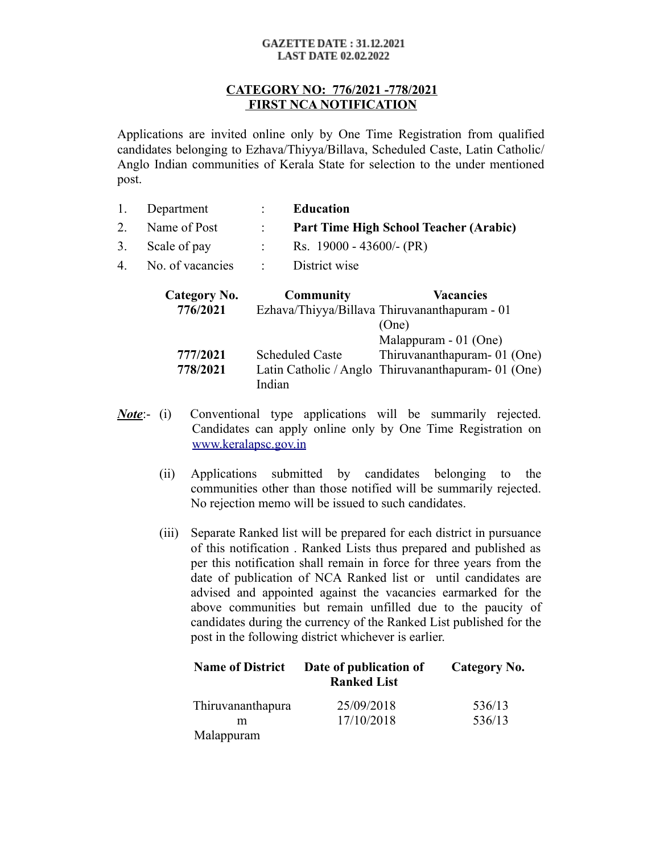#### **GAZETTE DATE: 31.12.2021 LAST DATE 02.02.2022**

### **CATEGORY NO: 776/2021 -778/2021 FIRST NCA NOTIFICATION**

Applications are invited online only by One Time Registration from qualified candidates belonging to Ezhava/Thiyya/Billava, Scheduled Caste, Latin Catholic/ Anglo Indian communities of Kerala State for selection to the under mentioned post.

| 1. Department                       | <b>Education</b>                         |
|-------------------------------------|------------------------------------------|
| 2. Name of Post                     | : Part Time High School Teacher (Arabic) |
| 3. Scale of pay                     | Rs. $19000 - 43600/-(PR)$                |
| 4. No. of vacancies : District wise |                                          |

| Category No. | Community              | <b>Vacancies</b>                                    |
|--------------|------------------------|-----------------------------------------------------|
| 776/2021     |                        | Ezhava/Thiyya/Billava Thiruvananthapuram - 01       |
|              |                        | (One)                                               |
|              |                        | Malappuram - 01 (One)                               |
| 777/2021     | <b>Scheduled Caste</b> | Thiruvananthapuram-01 (One)                         |
| 778/2021     |                        | Latin Catholic / Anglo Thiruvananthapuram- 01 (One) |
|              | Indian                 |                                                     |

- *Note*:- (i) Conventional type applications will be summarily rejected. Candidates can apply online only by One Time Registration on [www.keralapsc.gov.in](http://www.keralapsc.gov.in/)
	- (ii) Applications submitted by candidates belonging to the communities other than those notified will be summarily rejected. No rejection memo will be issued to such candidates.
	- (iii) Separate Ranked list will be prepared for each district in pursuance of this notification . Ranked Lists thus prepared and published as per this notification shall remain in force for three years from the date of publication of NCA Ranked list or until candidates are advised and appointed against the vacancies earmarked for the above communities but remain unfilled due to the paucity of candidates during the currency of the Ranked List published for the post in the following district whichever is earlier.

| <b>Name of District</b> | Date of publication of<br><b>Ranked List</b> | Category No. |
|-------------------------|----------------------------------------------|--------------|
| Thiruvananthapura       | 25/09/2018                                   | 536/13       |
| m                       | 17/10/2018                                   | 536/13       |
| Malappuram              |                                              |              |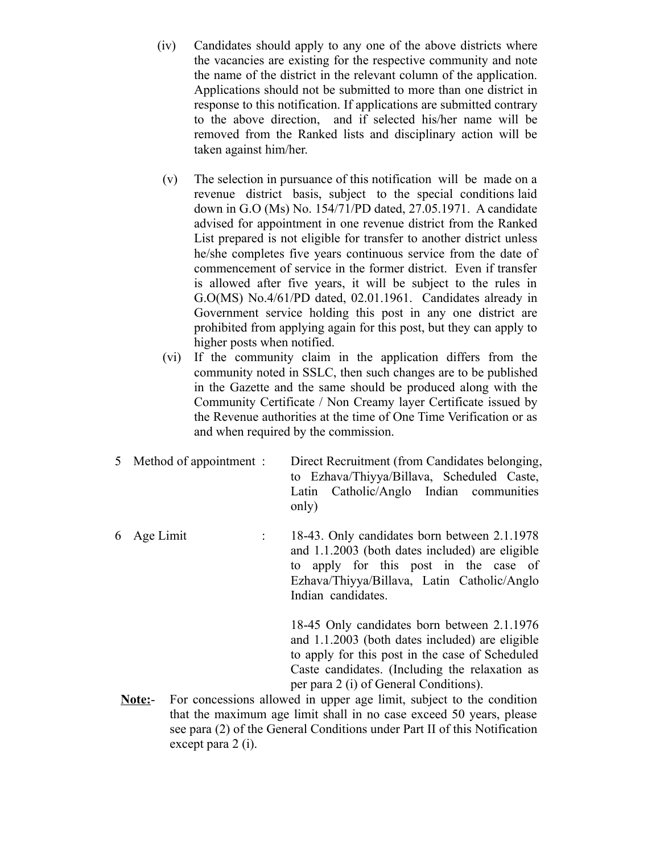- (iv) Candidates should apply to any one of the above districts where the vacancies are existing for the respective community and note the name of the district in the relevant column of the application. Applications should not be submitted to more than one district in response to this notification. If applications are submitted contrary to the above direction, and if selected his/her name will be removed from the Ranked lists and disciplinary action will be taken against him/her.
- (v) The selection in pursuance of this notification will be made on a revenue district basis, subject to the special conditions laid down in G.O (Ms) No. 154/71/PD dated, 27.05.1971. A candidate advised for appointment in one revenue district from the Ranked List prepared is not eligible for transfer to another district unless he/she completes five years continuous service from the date of commencement of service in the former district. Even if transfer is allowed after five years, it will be subject to the rules in G.O(MS) No.4/61/PD dated, 02.01.1961. Candidates already in Government service holding this post in any one district are prohibited from applying again for this post, but they can apply to higher posts when notified.
- (vi) If the community claim in the application differs from the community noted in SSLC, then such changes are to be published in the Gazette and the same should be produced along with the Community Certificate / Non Creamy layer Certificate issued by the Revenue authorities at the time of One Time Verification or as and when required by the commission.
- 5 Method of appointment : Direct Recruitment (from Candidates belonging , to Ezhava/Thiyya/Billava, Scheduled Caste, Latin Catholic/Anglo Indian communities only)
- 6 Age Limit : 18-43. Only candidates born between 2.1.1978 and 1.1.2003 (both dates included) are eligible to apply for this post in the case of Ezhava/Thiyya/Billava, Latin Catholic/Anglo Indian candidates.

18-45 Only candidates born between 2.1.1976 and 1.1.2003 (both dates included) are eligible to apply for this post in the case of Scheduled Caste candidates. (Including the relaxation as per para 2 (i) of General Conditions).

**Note:**- For concessions allowed in upper age limit, subject to the condition that the maximum age limit shall in no case exceed 50 years, please see para (2) of the General Conditions under Part II of this Notification except para 2 (i).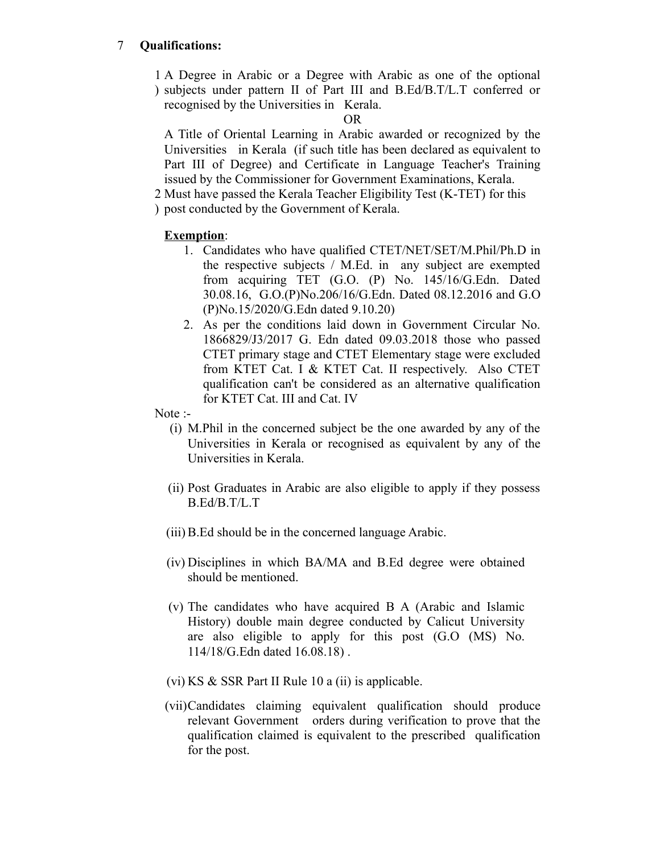# 7 **Qualifications:**

1 A Degree in Arabic or a Degree with Arabic as one of the optional ) subjects under pattern II of Part III and B.Ed/B.T/L.T conferred or recognised by the Universities in Kerala.

OR

A Title of Oriental Learning in Arabic awarded or recognized by the Universities in Kerala (if such title has been declared as equivalent to Part III of Degree) and Certificate in Language Teacher's Training issued by the Commissioner for Government Examinations, Kerala.

2 Must have passed the Kerala Teacher Eligibility Test (K-TET) for this

) post conducted by the Government of Kerala.

## **Exemption**:

- 1. Candidates who have qualified CTET/NET/SET/M.Phil/Ph.D in the respective subjects / M.Ed. in any subject are exempted from acquiring TET (G.O. (P) No. 145/16/G.Edn. Dated 30.08.16, G.O.(P)No.206/16/G.Edn. Dated 08.12.2016 and G.O (P)No.15/2020/G.Edn dated 9.10.20)
- 2. As per the conditions laid down in Government Circular No. 1866829/J3/2017 G. Edn dated 09.03.2018 those who passed CTET primary stage and CTET Elementary stage were excluded from KTET Cat. I & KTET Cat. II respectively. Also CTET qualification can't be considered as an alternative qualification for KTET Cat. III and Cat. IV
- Note :-
	- (i) M.Phil in the concerned subject be the one awarded by any of the Universities in Kerala or recognised as equivalent by any of the Universities in Kerala.
	- (ii) Post Graduates in Arabic are also eligible to apply if they possess B.Ed/B.T/L.T
	- (iii) B.Ed should be in the concerned language Arabic.
	- (iv) Disciplines in which BA/MA and B.Ed degree were obtained should be mentioned.
	- (v) The candidates who have acquired B A (Arabic and Islamic History) double main degree conducted by Calicut University are also eligible to apply for this post (G.O (MS) No. 114/18/G.Edn dated 16.08.18) .
	- (vi) KS  $&$  SSR Part II Rule 10 a (ii) is applicable.
	- (vii)Candidates claiming equivalent qualification should produce relevant Government orders during verification to prove that the qualification claimed is equivalent to the prescribed qualification for the post.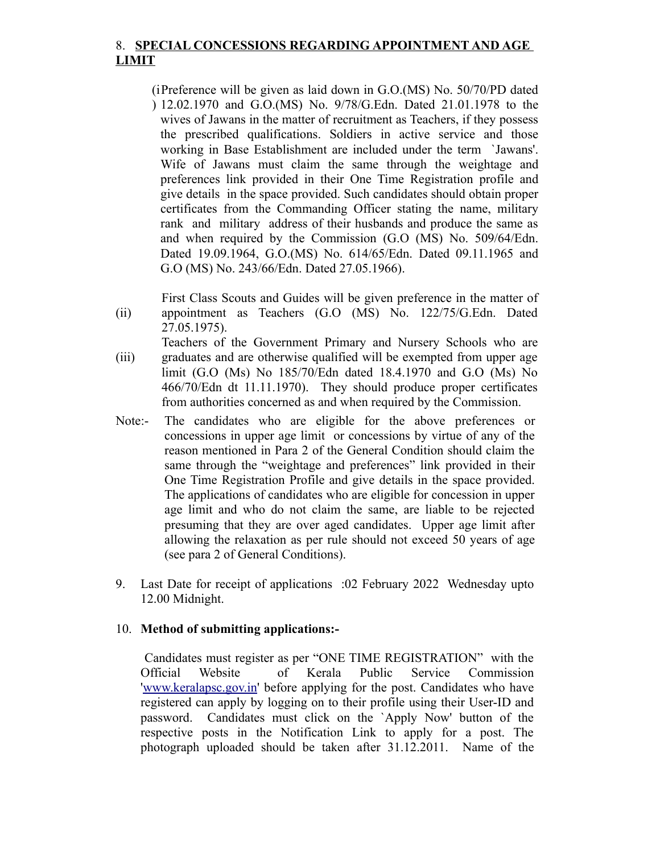## 8. **SPECIAL CONCESSIONS REGARDING APPOINTMENT AND AGE LIMIT**

- (i Preference will be given as laid down in G.O.(MS) No. 50/70/PD dated ) 12.02.1970 and G.O.(MS) No. 9/78/G.Edn. Dated 21.01.1978 to the wives of Jawans in the matter of recruitment as Teachers, if they possess the prescribed qualifications. Soldiers in active service and those working in Base Establishment are included under the term `Jawans'. Wife of Jawans must claim the same through the weightage and preferences link provided in their One Time Registration profile and give details in the space provided. Such candidates should obtain proper certificates from the Commanding Officer stating the name, military rank and military address of their husbands and produce the same as and when required by the Commission (G.O (MS) No. 509/64/Edn. Dated 19.09.1964, G.O.(MS) No. 614/65/Edn. Dated 09.11.1965 and G.O (MS) No. 243/66/Edn. Dated 27.05.1966).
- (ii) First Class Scouts and Guides will be given preference in the matter of appointment as Teachers (G.O (MS) No. 122/75/G.Edn. Dated 27.05.1975).
- (iii) Teachers of the Government Primary and Nursery Schools who are graduates and are otherwise qualified will be exempted from upper age limit (G.O (Ms) No 185/70/Edn dated 18.4.1970 and G.O (Ms) No 466/70/Edn dt 11.11.1970). They should produce proper certificates from authorities concerned as and when required by the Commission.
- Note:- The candidates who are eligible for the above preferences or concessions in upper age limit or concessions by virtue of any of the reason mentioned in Para 2 of the General Condition should claim the same through the "weightage and preferences" link provided in their One Time Registration Profile and give details in the space provided. The applications of candidates who are eligible for concession in upper age limit and who do not claim the same, are liable to be rejected presuming that they are over aged candidates. Upper age limit after allowing the relaxation as per rule should not exceed 50 years of age (see para 2 of General Conditions).
- 9. Last Date for receipt of applications :02 February 2022 Wednesday upto 12.00 Midnight.

#### 10. **Method of submitting applications:-**

 Candidates must register as per "ONE TIME REGISTRATION" with the Official Website of Kerala Public Service Commission ['www.keralapsc.gov.in](http://www.keralapsc.gov.in/)' before applying for the post. Candidates who have registered can apply by logging on to their profile using their User-ID and password. Candidates must click on the `Apply Now' button of the respective posts in the Notification Link to apply for a post. The photograph uploaded should be taken after 31.12.2011. Name of the